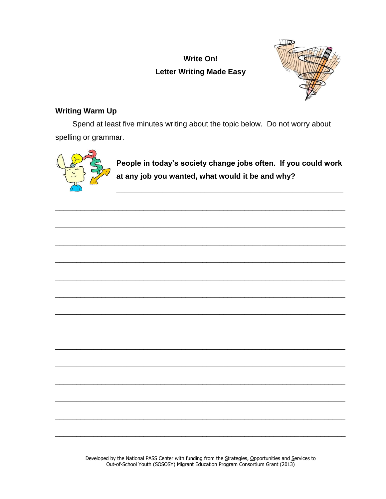# **Write On! Letter Writing Made Easy**



# **Writing Warm Up**

Spend at least five minutes writing about the topic below. Do not worry about spelling or grammar.



People in today's society change jobs often. If you could work at any job you wanted, what would it be and why?

Developed by the National PASS Center with funding from the Strategies, Opportunities and Services to Out-of-School Youth (SOSOSY) Migrant Education Program Consortium Grant (2013)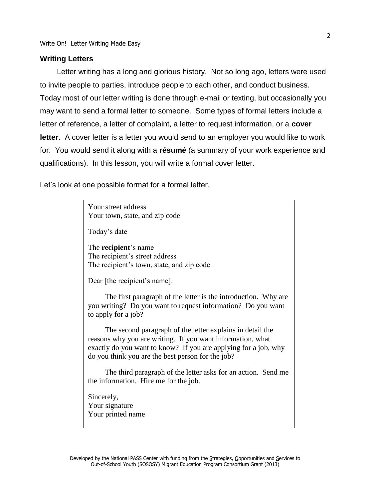#### **Writing Letters**

Letter writing has a long and glorious history. Not so long ago, letters were used to invite people to parties, introduce people to each other, and conduct business. Today most of our letter writing is done through e-mail or texting, but occasionally you may want to send a formal letter to someone. Some types of formal letters include a letter of reference, a letter of complaint, a letter to request information, or a **cover letter**. A cover letter is a letter you would send to an employer you would like to work for. You would send it along with a **résumé** (a summary of your work experience and qualifications). In this lesson, you will write a formal cover letter.

Let's look at one possible format for a formal letter.

Your street address Your town, state, and zip code

Today's date

The **recipient**'s name The recipient's street address The recipient's town, state, and zip code

Dear [the recipient's name]:

The first paragraph of the letter is the introduction. Why are you writing? Do you want to request information? Do you want to apply for a job?

The second paragraph of the letter explains in detail the reasons why you are writing. If you want information, what exactly do you want to know? If you are applying for a job, why do you think you are the best person for the job?

The third paragraph of the letter asks for an action. Send me the information. Hire me for the job.

Sincerely, Your signature Your printed name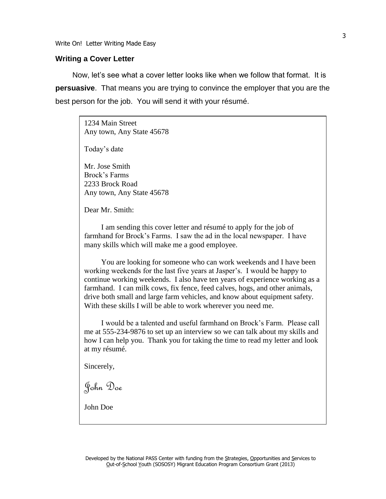Write On! Letter Writing Made Easy

#### **Writing a Cover Letter**

Now, let's see what a cover letter looks like when we follow that format. It is **persuasive**. That means you are trying to convince the employer that you are the best person for the job. You will send it with your résumé.

> 1234 Main Street Any town, Any State 45678

Today's date

Mr. Jose Smith Brock's Farms 2233 Brock Road Any town, Any State 45678

Dear Mr. Smith:

I am sending this cover letter and résumé to apply for the job of farmhand for Brock's Farms. I saw the ad in the local newspaper. I have many skills which will make me a good employee.

You are looking for someone who can work weekends and I have been working weekends for the last five years at Jasper's. I would be happy to continue working weekends. I also have ten years of experience working as a farmhand. I can milk cows, fix fence, feed calves, hogs, and other animals, drive both small and large farm vehicles, and know about equipment safety. With these skills I will be able to work wherever you need me.

I would be a talented and useful farmhand on Brock's Farm. Please call me at 555-234-9876 to set up an interview so we can talk about my skills and how I can help you. Thank you for taking the time to read my letter and look at my résumé.

Sincerely,

John Doe

John Doe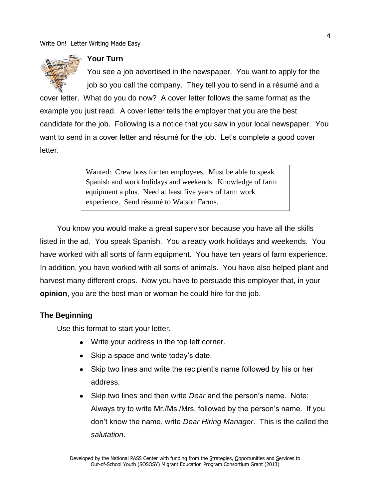Write On! Letter Writing Made Easy



#### **Your Turn**

You see a job advertised in the newspaper. You want to apply for the job so you call the company. They tell you to send in a résumé and a

cover letter. What do you do now? A cover letter follows the same format as the example you just read. A cover letter tells the employer that you are the best candidate for the job. Following is a notice that you saw in your local newspaper. You want to send in a cover letter and résumé for the job. Let's complete a good cover letter.

> Wanted: Crew boss for ten employees. Must be able to speak Spanish and work holidays and weekends. Knowledge of farm equipment a plus. Need at least five years of farm work experience. Send résumé to Watson Farms.

You know you would make a great supervisor because you have all the skills listed in the ad. You speak Spanish. You already work holidays and weekends. You have worked with all sorts of farm equipment. You have ten years of farm experience. In addition, you have worked with all sorts of animals. You have also helped plant and harvest many different crops. Now you have to persuade this employer that, in your **opinion**, you are the best man or woman he could hire for the job.

### **The Beginning**

Use this format to start your letter.

- Write your address in the top left corner.
- Skip a space and write today's date.
- Skip two lines and write the recipient's name followed by his or her  $\bullet$ address.
- Skip two lines and then write *Dear* and the person's name. Note: Always try to write Mr./Ms./Mrs. followed by the person's name. If you don't know the name, write *Dear Hiring Manager*. This is the called the *salutation*.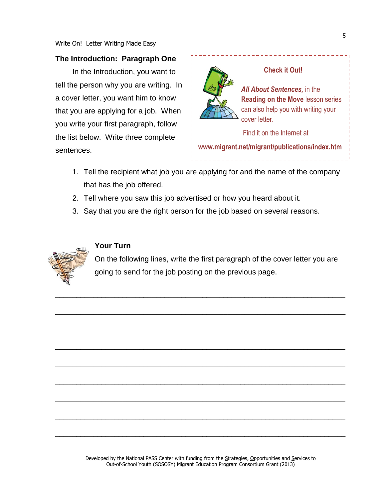#### **The Introduction: Paragraph One**

In the Introduction, you want to tell the person why you are writing. In a cover letter, you want him to know that you are applying for a job. When you write your first paragraph, follow the list below. Write three complete sentences.



#### **Check it Out!**

*All About Sentences,* in the **Reading on the Move** lesson series can also help you with writing your cover letter.

Find it on the Internet at

**www.migrant.net/migrant/publications/index.htm**

- 1. Tell the recipient what job you are applying for and the name of the company that has the job offered.
- 2. Tell where you saw this job advertised or how you heard about it.
- 3. Say that you are the right person for the job based on several reasons.

\_\_\_\_\_\_\_\_\_\_\_\_\_\_\_\_\_\_\_\_\_\_\_\_\_\_\_\_\_\_\_\_\_\_\_\_\_\_\_\_\_\_\_\_\_\_\_\_\_\_\_\_\_\_\_\_\_\_\_\_\_\_\_\_\_\_\_\_\_

\_\_\_\_\_\_\_\_\_\_\_\_\_\_\_\_\_\_\_\_\_\_\_\_\_\_\_\_\_\_\_\_\_\_\_\_\_\_\_\_\_\_\_\_\_\_\_\_\_\_\_\_\_\_\_\_\_\_\_\_\_\_\_\_\_\_\_\_\_

\_\_\_\_\_\_\_\_\_\_\_\_\_\_\_\_\_\_\_\_\_\_\_\_\_\_\_\_\_\_\_\_\_\_\_\_\_\_\_\_\_\_\_\_\_\_\_\_\_\_\_\_\_\_\_\_\_\_\_\_\_\_\_\_\_\_\_\_\_

\_\_\_\_\_\_\_\_\_\_\_\_\_\_\_\_\_\_\_\_\_\_\_\_\_\_\_\_\_\_\_\_\_\_\_\_\_\_\_\_\_\_\_\_\_\_\_\_\_\_\_\_\_\_\_\_\_\_\_\_\_\_\_\_\_\_\_\_\_

\_\_\_\_\_\_\_\_\_\_\_\_\_\_\_\_\_\_\_\_\_\_\_\_\_\_\_\_\_\_\_\_\_\_\_\_\_\_\_\_\_\_\_\_\_\_\_\_\_\_\_\_\_\_\_\_\_\_\_\_\_\_\_\_\_\_\_\_\_

\_\_\_\_\_\_\_\_\_\_\_\_\_\_\_\_\_\_\_\_\_\_\_\_\_\_\_\_\_\_\_\_\_\_\_\_\_\_\_\_\_\_\_\_\_\_\_\_\_\_\_\_\_\_\_\_\_\_\_\_\_\_\_\_\_\_\_\_\_

\_\_\_\_\_\_\_\_\_\_\_\_\_\_\_\_\_\_\_\_\_\_\_\_\_\_\_\_\_\_\_\_\_\_\_\_\_\_\_\_\_\_\_\_\_\_\_\_\_\_\_\_\_\_\_\_\_\_\_\_\_\_\_\_\_\_\_\_\_

\_\_\_\_\_\_\_\_\_\_\_\_\_\_\_\_\_\_\_\_\_\_\_\_\_\_\_\_\_\_\_\_\_\_\_\_\_\_\_\_\_\_\_\_\_\_\_\_\_\_\_\_\_\_\_\_\_\_\_\_\_\_\_\_\_\_\_\_\_

\_\_\_\_\_\_\_\_\_\_\_\_\_\_\_\_\_\_\_\_\_\_\_\_\_\_\_\_\_\_\_\_\_\_\_\_\_\_\_\_\_\_\_\_\_\_\_\_\_\_\_\_\_\_\_\_\_\_\_\_\_\_\_\_\_\_\_\_\_



## **Your Turn**

On the following lines, write the first paragraph of the cover letter you are going to send for the job posting on the previous page.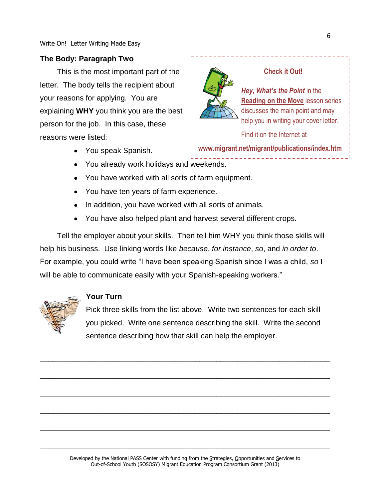# **The Body: Paragraph Two**

This is the most important part of the letter. The body tells the recipient about your reasons for applying. You are explaining **WHY** you think you are the best person for the job. In this case, these reasons were listed:

- You speak Spanish.
- You already work holidays and weekends.
- You have worked with all sorts of farm equipment.
- You have ten years of farm experience.
- In addition, you have worked with all sorts of animals.
- You have also helped plant and harvest several different crops.

Tell the employer about your skills. Then tell him WHY you think those skills will help his business. Use linking words like *because*, *for instance*, *so*, and *in order to*. For example, you could write "I have been speaking Spanish since I was a child, *so* I will be able to communicate easily with your Spanish-speaking workers."



### **Your Turn**

Pick three skills from the list above. Write two sentences for each skill you picked. Write one sentence describing the skill. Write the second sentence describing how that skill can help the employer.

# **Check it Out!**

*Hey, What's the Point* in the **Reading on the Move** lesson series discusses the main point and may help you in writing your cover letter.

Find it on the Internet at

**www.migrant.net/migrant/publications/index.htm**

\_\_\_\_\_\_\_\_\_\_\_\_\_\_\_\_\_\_\_\_\_\_\_\_\_\_\_\_\_\_\_\_\_\_\_\_\_\_\_\_\_\_\_\_\_\_\_\_\_\_\_\_\_\_\_\_\_\_\_\_\_\_\_\_\_\_\_\_\_

\_\_\_\_\_\_\_\_\_\_\_\_\_\_\_\_\_\_\_\_\_\_\_\_\_\_\_\_\_\_\_\_\_\_\_\_\_\_\_\_\_\_\_\_\_\_\_\_\_\_\_\_\_\_\_\_\_\_\_\_\_\_\_\_\_\_\_\_\_

\_\_\_\_\_\_\_\_\_\_\_\_\_\_\_\_\_\_\_\_\_\_\_\_\_\_\_\_\_\_\_\_\_\_\_\_\_\_\_\_\_\_\_\_\_\_\_\_\_\_\_\_\_\_\_\_\_\_\_\_\_\_\_\_\_\_\_\_\_

\_\_\_\_\_\_\_\_\_\_\_\_\_\_\_\_\_\_\_\_\_\_\_\_\_\_\_\_\_\_\_\_\_\_\_\_\_\_\_\_\_\_\_\_\_\_\_\_\_\_\_\_\_\_\_\_\_\_\_\_\_\_\_\_\_\_\_\_\_

\_\_\_\_\_\_\_\_\_\_\_\_\_\_\_\_\_\_\_\_\_\_\_\_\_\_\_\_\_\_\_\_\_\_\_\_\_\_\_\_\_\_\_\_\_\_\_\_\_\_\_\_\_\_\_\_\_\_\_\_\_\_\_\_\_\_\_\_\_

\_\_\_\_\_\_\_\_\_\_\_\_\_\_\_\_\_\_\_\_\_\_\_\_\_\_\_\_\_\_\_\_\_\_\_\_\_\_\_\_\_\_\_\_\_\_\_\_\_\_\_\_\_\_\_\_\_\_\_\_\_\_\_\_\_\_\_\_\_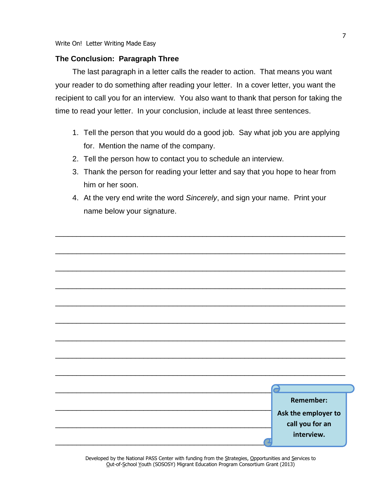#### **The Conclusion: Paragraph Three**

The last paragraph in a letter calls the reader to action. That means you want your reader to do something after reading your letter. In a cover letter, you want the recipient to call you for an interview. You also want to thank that person for taking the time to read your letter. In your conclusion, include at least three sentences.

- 1. Tell the person that you would do a good job. Say what job you are applying for. Mention the name of the company.
- 2. Tell the person how to contact you to schedule an interview.
- 3. Thank the person for reading your letter and say that you hope to hear from him or her soon.
- 4. At the very end write the word *Sincerely*, and sign your name. Print your name below your signature.

\_\_\_\_\_\_\_\_\_\_\_\_\_\_\_\_\_\_\_\_\_\_\_\_\_\_\_\_\_\_\_\_\_\_\_\_\_\_\_\_\_\_\_\_\_\_\_\_\_\_\_\_\_\_\_\_\_\_\_\_\_\_\_\_\_\_\_\_\_

|  | Remember:                                            |  |
|--|------------------------------------------------------|--|
|  | Ask the employer to<br>call you for an<br>interview. |  |

Developed by the National PASS Center with funding from the Strategies, Opportunities and Services to Out-of-School Youth (SOSOSY) Migrant Education Program Consortium Grant (2013)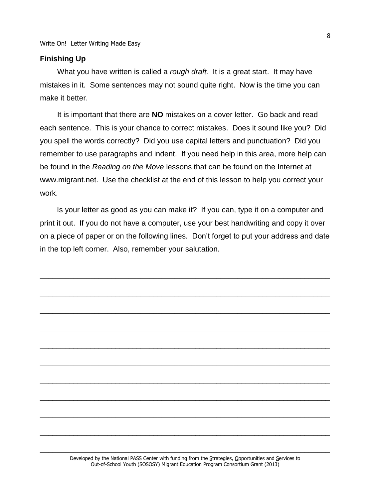#### **Finishing Up**

What you have written is called a *rough draft.* It is a great start. It may have mistakes in it. Some sentences may not sound quite right. Now is the time you can make it better.

It is important that there are **NO** mistakes on a cover letter. Go back and read each sentence. This is your chance to correct mistakes. Does it sound like you? Did you spell the words correctly? Did you use capital letters and punctuation? Did you remember to use paragraphs and indent. If you need help in this area, more help can be found in the *Reading on the Move* lessons that can be found on the Internet at www.migrant.net. Use the checklist at the end of this lesson to help you correct your work.

Is your letter as good as you can make it? If you can, type it on a computer and print it out. If you do not have a computer, use your best handwriting and copy it over on a piece of paper or on the following lines. Don't forget to put your address and date in the top left corner. Also, remember your salutation.

\_\_\_\_\_\_\_\_\_\_\_\_\_\_\_\_\_\_\_\_\_\_\_\_\_\_\_\_\_\_\_\_\_\_\_\_\_\_\_\_\_\_\_\_\_\_\_\_\_\_\_\_\_\_\_\_\_\_\_\_\_\_\_\_\_\_\_\_\_

\_\_\_\_\_\_\_\_\_\_\_\_\_\_\_\_\_\_\_\_\_\_\_\_\_\_\_\_\_\_\_\_\_\_\_\_\_\_\_\_\_\_\_\_\_\_\_\_\_\_\_\_\_\_\_\_\_\_\_\_\_\_\_\_\_\_\_\_\_

\_\_\_\_\_\_\_\_\_\_\_\_\_\_\_\_\_\_\_\_\_\_\_\_\_\_\_\_\_\_\_\_\_\_\_\_\_\_\_\_\_\_\_\_\_\_\_\_\_\_\_\_\_\_\_\_\_\_\_\_\_\_\_\_\_\_\_\_\_

\_\_\_\_\_\_\_\_\_\_\_\_\_\_\_\_\_\_\_\_\_\_\_\_\_\_\_\_\_\_\_\_\_\_\_\_\_\_\_\_\_\_\_\_\_\_\_\_\_\_\_\_\_\_\_\_\_\_\_\_\_\_\_\_\_\_\_\_\_

\_\_\_\_\_\_\_\_\_\_\_\_\_\_\_\_\_\_\_\_\_\_\_\_\_\_\_\_\_\_\_\_\_\_\_\_\_\_\_\_\_\_\_\_\_\_\_\_\_\_\_\_\_\_\_\_\_\_\_\_\_\_\_\_\_\_\_\_\_

\_\_\_\_\_\_\_\_\_\_\_\_\_\_\_\_\_\_\_\_\_\_\_\_\_\_\_\_\_\_\_\_\_\_\_\_\_\_\_\_\_\_\_\_\_\_\_\_\_\_\_\_\_\_\_\_\_\_\_\_\_\_\_\_\_\_\_\_\_

\_\_\_\_\_\_\_\_\_\_\_\_\_\_\_\_\_\_\_\_\_\_\_\_\_\_\_\_\_\_\_\_\_\_\_\_\_\_\_\_\_\_\_\_\_\_\_\_\_\_\_\_\_\_\_\_\_\_\_\_\_\_\_\_\_\_\_\_\_

\_\_\_\_\_\_\_\_\_\_\_\_\_\_\_\_\_\_\_\_\_\_\_\_\_\_\_\_\_\_\_\_\_\_\_\_\_\_\_\_\_\_\_\_\_\_\_\_\_\_\_\_\_\_\_\_\_\_\_\_\_\_\_\_\_\_\_\_\_

\_\_\_\_\_\_\_\_\_\_\_\_\_\_\_\_\_\_\_\_\_\_\_\_\_\_\_\_\_\_\_\_\_\_\_\_\_\_\_\_\_\_\_\_\_\_\_\_\_\_\_\_\_\_\_\_\_\_\_\_\_\_\_\_\_\_\_\_\_

\_\_\_\_\_\_\_\_\_\_\_\_\_\_\_\_\_\_\_\_\_\_\_\_\_\_\_\_\_\_\_\_\_\_\_\_\_\_\_\_\_\_\_\_\_\_\_\_\_\_\_\_\_\_\_\_\_\_\_\_\_\_\_\_\_\_\_\_\_

\_\_\_\_\_\_\_\_\_\_\_\_\_\_\_\_\_\_\_\_\_\_\_\_\_\_\_\_\_\_\_\_\_\_\_\_\_\_\_\_\_\_\_\_\_\_\_\_\_\_\_\_\_\_\_\_\_\_\_\_\_\_\_\_\_\_\_\_\_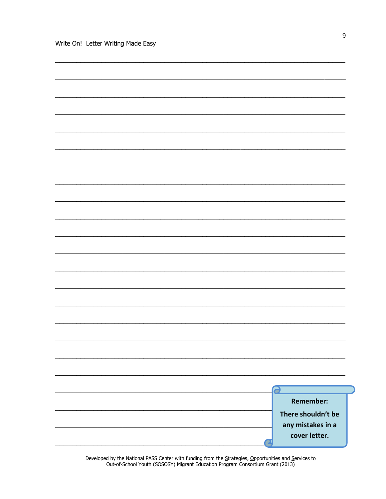|  |  | <b>Remember:</b>   |  |
|--|--|--------------------|--|
|  |  | There shouldn't be |  |
|  |  | any mistakes in a  |  |
|  |  | cover letter.      |  |
|  |  |                    |  |

Developed by the National PASS Center with funding from the Strategies, Opportunities and Services to Out-of-School Youth (SOSOSY) Migrant Education Program Consortium Grant (2013)